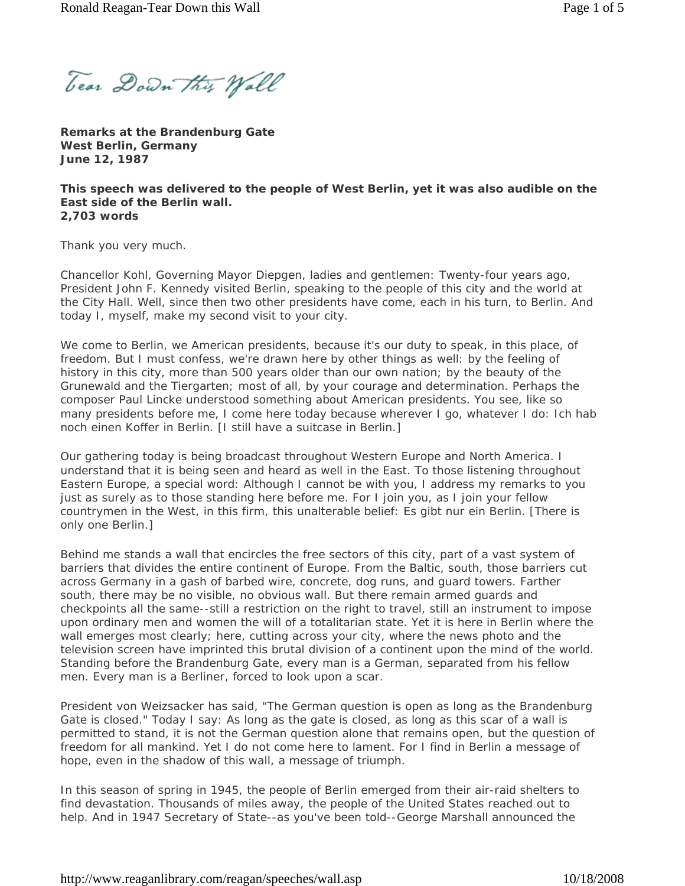Vear Down This Wall

**Remarks at the Brandenburg Gate West Berlin, Germany June 12, 1987**

**This speech was delivered to the people of West Berlin, yet it was also audible on the East side of the Berlin wall. 2,703 words** 

Thank you very much.

Chancellor Kohl, Governing Mayor Diepgen, ladies and gentlemen: Twenty-four years ago, President John F. Kennedy visited Berlin, speaking to the people of this city and the world at the City Hall. Well, since then two other presidents have come, each in his turn, to Berlin. And today I, myself, make my second visit to your city.

We come to Berlin, we American presidents, because it's our duty to speak, in this place, of freedom. But I must confess, we're drawn here by other things as well: by the feeling of history in this city, more than 500 years older than our own nation; by the beauty of the Grunewald and the Tiergarten; most of all, by your courage and determination. Perhaps the composer Paul Lincke understood something about American presidents. You see, like so many presidents before me, I come here today because wherever I go, whatever I do: Ich hab noch einen Koffer in Berlin. [I still have a suitcase in Berlin.]

Our gathering today is being broadcast throughout Western Europe and North America. I understand that it is being seen and heard as well in the East. To those listening throughout Eastern Europe, a special word: Although I cannot be with you, I address my remarks to you just as surely as to those standing here before me. For I join you, as I join your fellow countrymen in the West, in this firm, this unalterable belief: Es gibt nur ein Berlin. [There is only one Berlin.]

Behind me stands a wall that encircles the free sectors of this city, part of a vast system of barriers that divides the entire continent of Europe. From the Baltic, south, those barriers cut across Germany in a gash of barbed wire, concrete, dog runs, and guard towers. Farther south, there may be no visible, no obvious wall. But there remain armed guards and checkpoints all the same--still a restriction on the right to travel, still an instrument to impose upon ordinary men and women the will of a totalitarian state. Yet it is here in Berlin where the wall emerges most clearly; here, cutting across your city, where the news photo and the television screen have imprinted this brutal division of a continent upon the mind of the world. Standing before the Brandenburg Gate, every man is a German, separated from his fellow men. Every man is a Berliner, forced to look upon a scar.

President von Weizsacker has said, "The German question is open as long as the Brandenburg Gate is closed." Today I say: As long as the gate is closed, as long as this scar of a wall is permitted to stand, it is not the German question alone that remains open, but the question of freedom for all mankind. Yet I do not come here to lament. For I find in Berlin a message of hope, even in the shadow of this wall, a message of triumph.

In this season of spring in 1945, the people of Berlin emerged from their air-raid shelters to find devastation. Thousands of miles away, the people of the United States reached out to help. And in 1947 Secretary of State--as you've been told--George Marshall announced the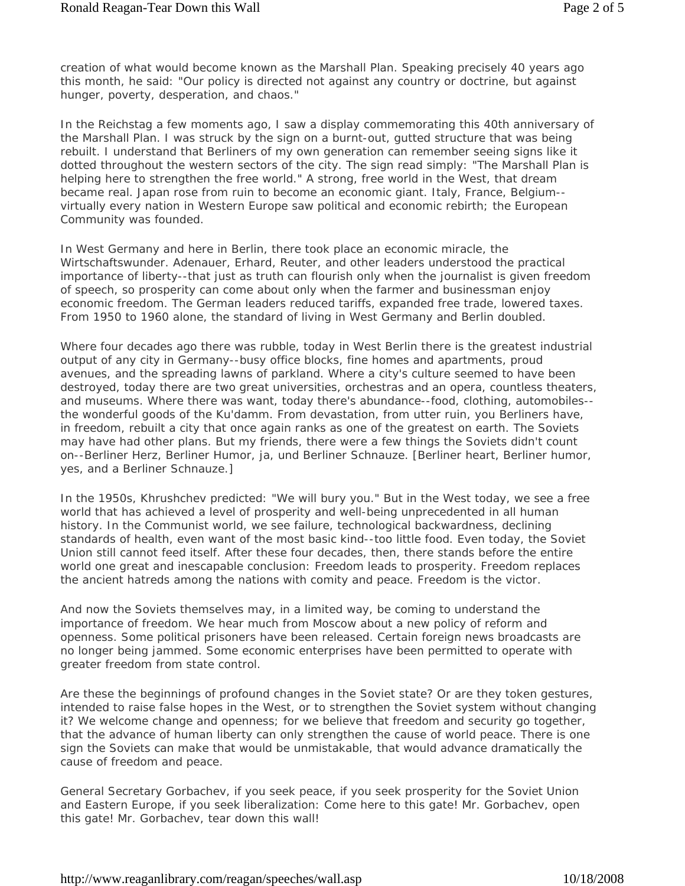creation of what would become known as the Marshall Plan. Speaking precisely 40 years ago this month, he said: "Our policy is directed not against any country or doctrine, but against hunger, poverty, desperation, and chaos."

In the Reichstag a few moments ago, I saw a display commemorating this 40th anniversary of the Marshall Plan. I was struck by the sign on a burnt-out, gutted structure that was being rebuilt. I understand that Berliners of my own generation can remember seeing signs like it dotted throughout the western sectors of the city. The sign read simply: "The Marshall Plan is helping here to strengthen the free world." A strong, free world in the West, that dream became real. Japan rose from ruin to become an economic giant. Italy, France, Belgium- virtually every nation in Western Europe saw political and economic rebirth; the European Community was founded.

In West Germany and here in Berlin, there took place an economic miracle, the Wirtschaftswunder. Adenauer, Erhard, Reuter, and other leaders understood the practical importance of liberty--that just as truth can flourish only when the journalist is given freedom of speech, so prosperity can come about only when the farmer and businessman enjoy economic freedom. The German leaders reduced tariffs, expanded free trade, lowered taxes. From 1950 to 1960 alone, the standard of living in West Germany and Berlin doubled.

Where four decades ago there was rubble, today in West Berlin there is the greatest industrial output of any city in Germany--busy office blocks, fine homes and apartments, proud avenues, and the spreading lawns of parkland. Where a city's culture seemed to have been destroyed, today there are two great universities, orchestras and an opera, countless theaters, and museums. Where there was want, today there's abundance--food, clothing, automobiles- the wonderful goods of the Ku'damm. From devastation, from utter ruin, you Berliners have, in freedom, rebuilt a city that once again ranks as one of the greatest on earth. The Soviets may have had other plans. But my friends, there were a few things the Soviets didn't count on--Berliner Herz, Berliner Humor, ja, und Berliner Schnauze. [Berliner heart, Berliner humor, yes, and a Berliner Schnauze.]

In the 1950s, Khrushchev predicted: "We will bury you." But in the West today, we see a free world that has achieved a level of prosperity and well-being unprecedented in all human history. In the Communist world, we see failure, technological backwardness, declining standards of health, even want of the most basic kind--too little food. Even today, the Soviet Union still cannot feed itself. After these four decades, then, there stands before the entire world one great and inescapable conclusion: Freedom leads to prosperity. Freedom replaces the ancient hatreds among the nations with comity and peace. Freedom is the victor.

And now the Soviets themselves may, in a limited way, be coming to understand the importance of freedom. We hear much from Moscow about a new policy of reform and openness. Some political prisoners have been released. Certain foreign news broadcasts are no longer being jammed. Some economic enterprises have been permitted to operate with greater freedom from state control.

Are these the beginnings of profound changes in the Soviet state? Or are they token gestures, intended to raise false hopes in the West, or to strengthen the Soviet system without changing it? We welcome change and openness; for we believe that freedom and security go together, that the advance of human liberty can only strengthen the cause of world peace. There is one sign the Soviets can make that would be unmistakable, that would advance dramatically the cause of freedom and peace.

General Secretary Gorbachev, if you seek peace, if you seek prosperity for the Soviet Union and Eastern Europe, if you seek liberalization: Come here to this gate! Mr. Gorbachev, open this gate! Mr. Gorbachev, tear down this wall!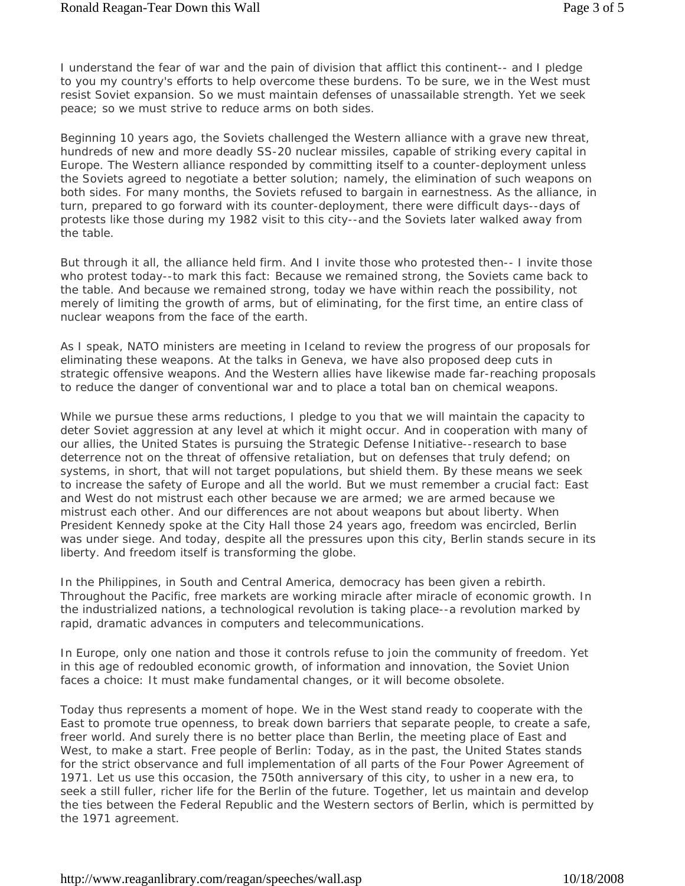I understand the fear of war and the pain of division that afflict this continent-- and I pledge to you my country's efforts to help overcome these burdens. To be sure, we in the West must resist Soviet expansion. So we must maintain defenses of unassailable strength. Yet we seek peace; so we must strive to reduce arms on both sides.

Beginning 10 years ago, the Soviets challenged the Western alliance with a grave new threat, hundreds of new and more deadly SS-20 nuclear missiles, capable of striking every capital in Europe. The Western alliance responded by committing itself to a counter-deployment unless the Soviets agreed to negotiate a better solution; namely, the elimination of such weapons on both sides. For many months, the Soviets refused to bargain in earnestness. As the alliance, in turn, prepared to go forward with its counter-deployment, there were difficult days--days of protests like those during my 1982 visit to this city--and the Soviets later walked away from the table.

But through it all, the alliance held firm. And I invite those who protested then-- I invite those who protest today--to mark this fact: Because we remained strong, the Soviets came back to the table. And because we remained strong, today we have within reach the possibility, not merely of limiting the growth of arms, but of eliminating, for the first time, an entire class of nuclear weapons from the face of the earth.

As I speak, NATO ministers are meeting in Iceland to review the progress of our proposals for eliminating these weapons. At the talks in Geneva, we have also proposed deep cuts in strategic offensive weapons. And the Western allies have likewise made far-reaching proposals to reduce the danger of conventional war and to place a total ban on chemical weapons.

While we pursue these arms reductions, I pledge to you that we will maintain the capacity to deter Soviet aggression at any level at which it might occur. And in cooperation with many of our allies, the United States is pursuing the Strategic Defense Initiative--research to base deterrence not on the threat of offensive retaliation, but on defenses that truly defend; on systems, in short, that will not target populations, but shield them. By these means we seek to increase the safety of Europe and all the world. But we must remember a crucial fact: East and West do not mistrust each other because we are armed; we are armed because we mistrust each other. And our differences are not about weapons but about liberty. When President Kennedy spoke at the City Hall those 24 years ago, freedom was encircled, Berlin was under siege. And today, despite all the pressures upon this city, Berlin stands secure in its liberty. And freedom itself is transforming the globe.

In the Philippines, in South and Central America, democracy has been given a rebirth. Throughout the Pacific, free markets are working miracle after miracle of economic growth. In the industrialized nations, a technological revolution is taking place--a revolution marked by rapid, dramatic advances in computers and telecommunications.

In Europe, only one nation and those it controls refuse to join the community of freedom. Yet in this age of redoubled economic growth, of information and innovation, the Soviet Union faces a choice: It must make fundamental changes, or it will become obsolete.

Today thus represents a moment of hope. We in the West stand ready to cooperate with the East to promote true openness, to break down barriers that separate people, to create a safe, freer world. And surely there is no better place than Berlin, the meeting place of East and West, to make a start. Free people of Berlin: Today, as in the past, the United States stands for the strict observance and full implementation of all parts of the Four Power Agreement of 1971. Let us use this occasion, the 750th anniversary of this city, to usher in a new era, to seek a still fuller, richer life for the Berlin of the future. Together, let us maintain and develop the ties between the Federal Republic and the Western sectors of Berlin, which is permitted by the 1971 agreement.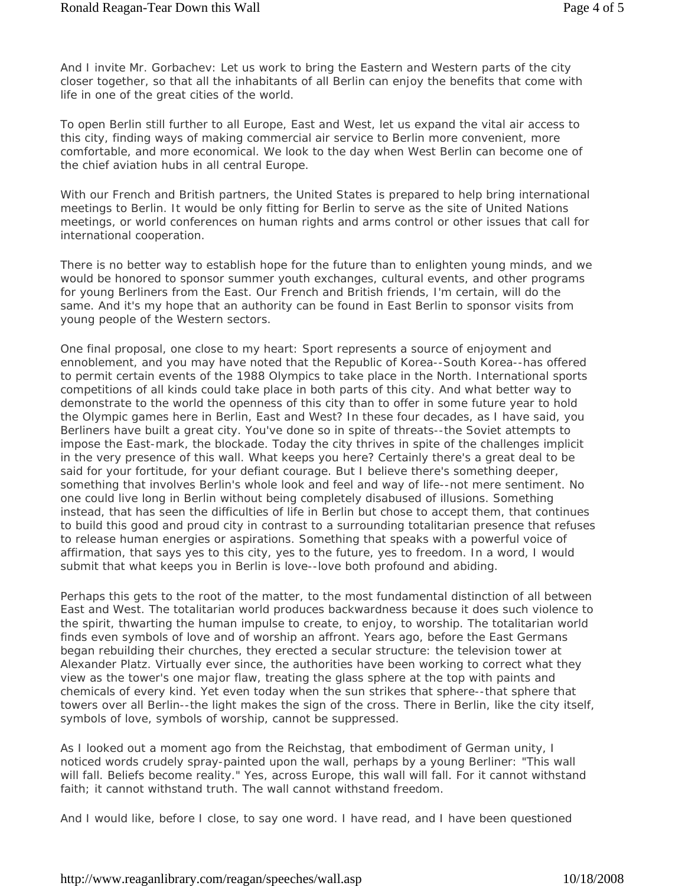And I invite Mr. Gorbachev: Let us work to bring the Eastern and Western parts of the city closer together, so that all the inhabitants of all Berlin can enjoy the benefits that come with life in one of the great cities of the world.

To open Berlin still further to all Europe, East and West, let us expand the vital air access to this city, finding ways of making commercial air service to Berlin more convenient, more comfortable, and more economical. We look to the day when West Berlin can become one of the chief aviation hubs in all central Europe.

With our French and British partners, the United States is prepared to help bring international meetings to Berlin. It would be only fitting for Berlin to serve as the site of United Nations meetings, or world conferences on human rights and arms control or other issues that call for international cooperation.

There is no better way to establish hope for the future than to enlighten young minds, and we would be honored to sponsor summer youth exchanges, cultural events, and other programs for young Berliners from the East. Our French and British friends, I'm certain, will do the same. And it's my hope that an authority can be found in East Berlin to sponsor visits from young people of the Western sectors.

One final proposal, one close to my heart: Sport represents a source of enjoyment and ennoblement, and you may have noted that the Republic of Korea--South Korea--has offered to permit certain events of the 1988 Olympics to take place in the North. International sports competitions of all kinds could take place in both parts of this city. And what better way to demonstrate to the world the openness of this city than to offer in some future year to hold the Olympic games here in Berlin, East and West? In these four decades, as I have said, you Berliners have built a great city. You've done so in spite of threats--the Soviet attempts to impose the East-mark, the blockade. Today the city thrives in spite of the challenges implicit in the very presence of this wall. What keeps you here? Certainly there's a great deal to be said for your fortitude, for your defiant courage. But I believe there's something deeper, something that involves Berlin's whole look and feel and way of life--not mere sentiment. No one could live long in Berlin without being completely disabused of illusions. Something instead, that has seen the difficulties of life in Berlin but chose to accept them, that continues to build this good and proud city in contrast to a surrounding totalitarian presence that refuses to release human energies or aspirations. Something that speaks with a powerful voice of affirmation, that says yes to this city, yes to the future, yes to freedom. In a word, I would submit that what keeps you in Berlin is love--love both profound and abiding.

Perhaps this gets to the root of the matter, to the most fundamental distinction of all between East and West. The totalitarian world produces backwardness because it does such violence to the spirit, thwarting the human impulse to create, to enjoy, to worship. The totalitarian world finds even symbols of love and of worship an affront. Years ago, before the East Germans began rebuilding their churches, they erected a secular structure: the television tower at Alexander Platz. Virtually ever since, the authorities have been working to correct what they view as the tower's one major flaw, treating the glass sphere at the top with paints and chemicals of every kind. Yet even today when the sun strikes that sphere--that sphere that towers over all Berlin--the light makes the sign of the cross. There in Berlin, like the city itself, symbols of love, symbols of worship, cannot be suppressed.

As I looked out a moment ago from the Reichstag, that embodiment of German unity, I noticed words crudely spray-painted upon the wall, perhaps by a young Berliner: "This wall will fall. Beliefs become reality." Yes, across Europe, this wall will fall. For it cannot withstand faith; it cannot withstand truth. The wall cannot withstand freedom.

And I would like, before I close, to say one word. I have read, and I have been questioned